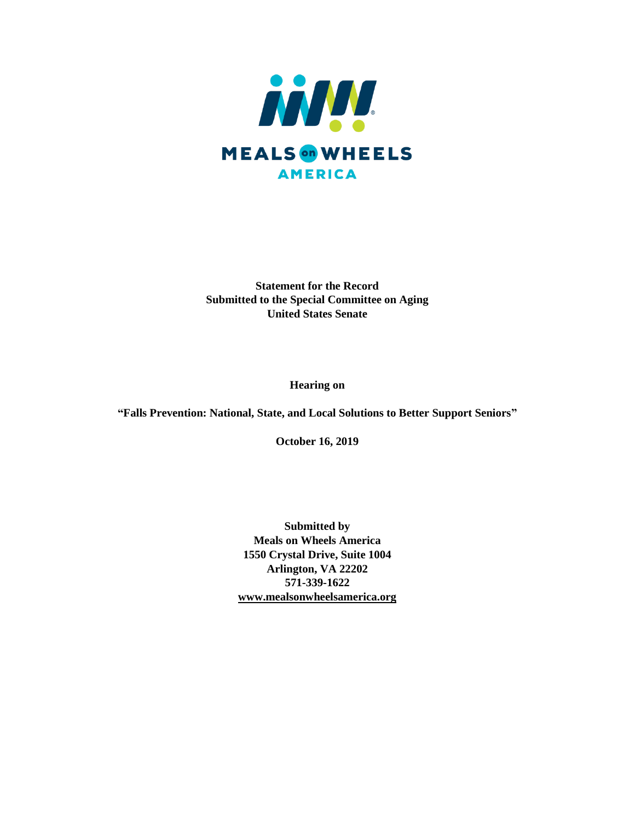

**Statement for the Record Submitted to the Special Committee on Aging United States Senate** 

**Hearing on** 

**"Falls Prevention: National, State, and Local Solutions to Better Support Seniors"**

**October 16, 2019**

**Submitted by Meals on Wheels America 1550 Crystal Drive, Suite 1004 Arlington, VA 22202 571-339-1622 [www.mealsonwheelsamerica.org](http://www.mealsonwheelsamerica.org/)**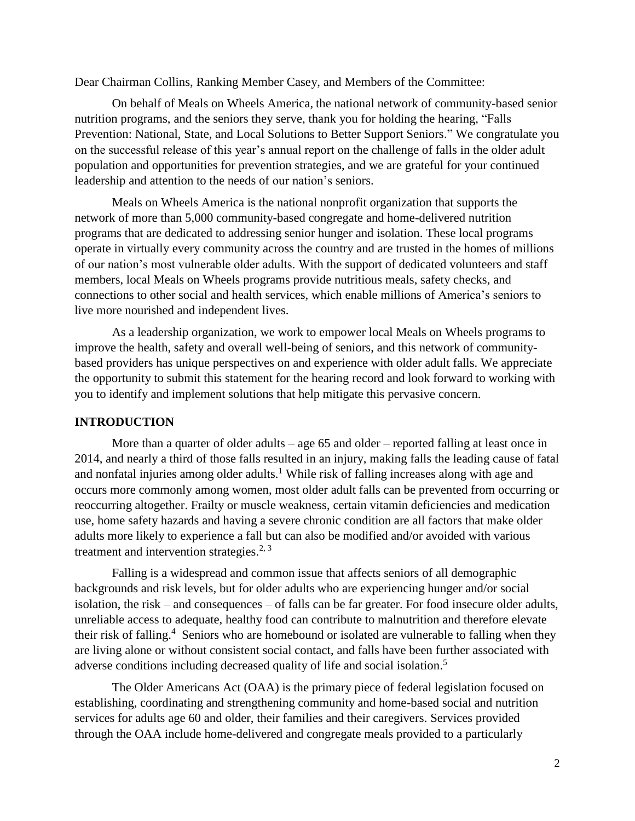Dear Chairman Collins, Ranking Member Casey, and Members of the Committee:

On behalf of Meals on Wheels America, the national network of community-based senior nutrition programs, and the seniors they serve, thank you for holding the hearing, "Falls Prevention: National, State, and Local Solutions to Better Support Seniors." We congratulate you on the successful release of this year's annual report on the challenge of falls in the older adult population and opportunities for prevention strategies, and we are grateful for your continued leadership and attention to the needs of our nation's seniors.

Meals on Wheels America is the national nonprofit organization that supports the network of more than 5,000 community-based congregate and home-delivered nutrition programs that are dedicated to addressing senior hunger and isolation. These local programs operate in virtually every community across the country and are trusted in the homes of millions of our nation's most vulnerable older adults. With the support of dedicated volunteers and staff members, local Meals on Wheels programs provide nutritious meals, safety checks, and connections to other social and health services, which enable millions of America's seniors to live more nourished and independent lives.

As a leadership organization, we work to empower local Meals on Wheels programs to improve the health, safety and overall well-being of seniors, and this network of communitybased providers has unique perspectives on and experience with older adult falls. We appreciate the opportunity to submit this statement for the hearing record and look forward to working with you to identify and implement solutions that help mitigate this pervasive concern.

## **INTRODUCTION**

More than a quarter of older adults – age 65 and older – reported falling at least once in 2014, and nearly a third of those falls resulted in an injury, making falls the leading cause of fatal and nonfatal injuries among older adults.<sup>1</sup> While risk of falling increases along with age and occurs more commonly among women, most older adult falls can be prevented from occurring or reoccurring altogether. Frailty or muscle weakness, certain vitamin deficiencies and medication use, home safety hazards and having a severe chronic condition are all factors that make older adults more likely to experience a fall but can also be modified and/or avoided with various treatment and intervention strategies.<sup>2, 3</sup>

Falling is a widespread and common issue that affects seniors of all demographic backgrounds and risk levels, but for older adults who are experiencing hunger and/or social isolation, the risk – and consequences – of falls can be far greater. For food insecure older adults, unreliable access to adequate, healthy food can contribute to malnutrition and therefore elevate their risk of falling.<sup>4</sup> Seniors who are homebound or isolated are vulnerable to falling when they are living alone or without consistent social contact, and falls have been further associated with adverse conditions including decreased quality of life and social isolation. 5

The Older Americans Act (OAA) is the primary piece of federal legislation focused on establishing, coordinating and strengthening community and home-based social and nutrition services for adults age 60 and older, their families and their caregivers. Services provided through the OAA include home-delivered and congregate meals provided to a particularly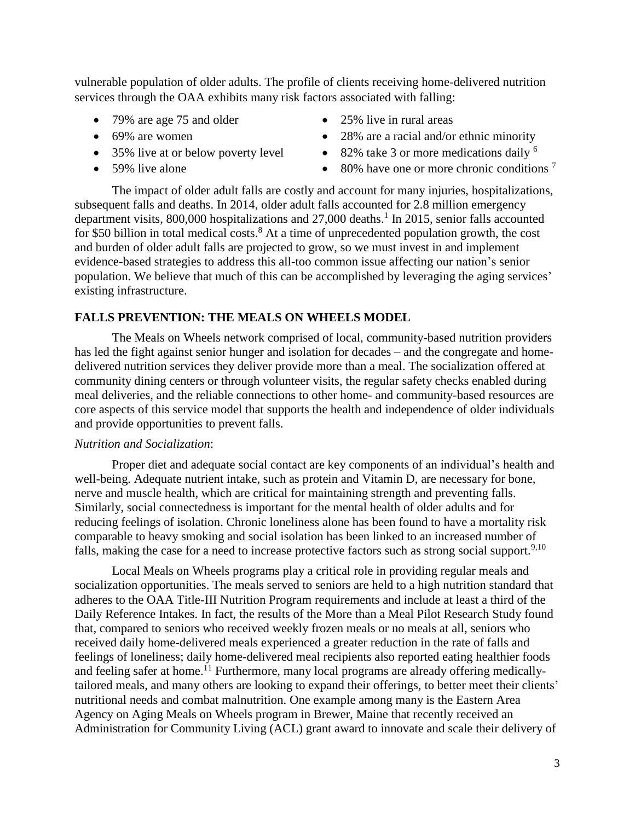vulnerable population of older adults. The profile of clients receiving home-delivered nutrition services through the OAA exhibits many risk factors associated with falling:

- 79% are age 75 and older
- 69% are women
- 35% live at or below poverty level
- 59% live alone
- 25% live in rural areas
- 28% are a racial and/or ethnic minority
- $\bullet$  82% take 3 or more medications daily <sup>6</sup>
- $\bullet$  80% have one or more chronic conditions  $^7$

The impact of older adult falls are costly and account for many injuries, hospitalizations, subsequent falls and deaths. In 2014, older adult falls accounted for 2.8 million emergency department visits, 800,000 hospitalizations and  $27,000$  deaths.<sup>1</sup> In 2015, senior falls accounted for \$50 billion in total medical costs.<sup>8</sup> At a time of unprecedented population growth, the cost and burden of older adult falls are projected to grow, so we must invest in and implement evidence-based strategies to address this all-too common issue affecting our nation's senior population. We believe that much of this can be accomplished by leveraging the aging services' existing infrastructure.

# **FALLS PREVENTION: THE MEALS ON WHEELS MODEL**

The Meals on Wheels network comprised of local, community-based nutrition providers has led the fight against senior hunger and isolation for decades – and the congregate and homedelivered nutrition services they deliver provide more than a meal. The socialization offered at community dining centers or through volunteer visits, the regular safety checks enabled during meal deliveries, and the reliable connections to other home- and community-based resources are core aspects of this service model that supports the health and independence of older individuals and provide opportunities to prevent falls.

# *Nutrition and Socialization*:

Proper diet and adequate social contact are key components of an individual's health and well-being. Adequate nutrient intake, such as protein and Vitamin D, are necessary for bone, nerve and muscle health, which are critical for maintaining strength and preventing falls. Similarly, social connectedness is important for the mental health of older adults and for reducing feelings of isolation. Chronic loneliness alone has been found to have a mortality risk comparable to heavy smoking and social isolation has been linked to an increased number of falls, making the case for a need to increase protective factors such as strong social support.<sup>9,10</sup>

Local Meals on Wheels programs play a critical role in providing regular meals and socialization opportunities. The meals served to seniors are held to a high nutrition standard that adheres to the OAA Title-III Nutrition Program requirements and include at least a third of the Daily Reference Intakes. In fact, the results of the More than a Meal Pilot Research Study found that, compared to seniors who received weekly frozen meals or no meals at all, seniors who received daily home-delivered meals experienced a greater reduction in the rate of falls and feelings of loneliness; daily home-delivered meal recipients also reported eating healthier foods and feeling safer at home.<sup>11</sup> Furthermore, many local programs are already offering medicallytailored meals, and many others are looking to expand their offerings, to better meet their clients' nutritional needs and combat malnutrition. One example among many is the Eastern Area Agency on Aging Meals on Wheels program in Brewer, Maine that recently received an Administration for Community Living (ACL) grant award to innovate and scale their delivery of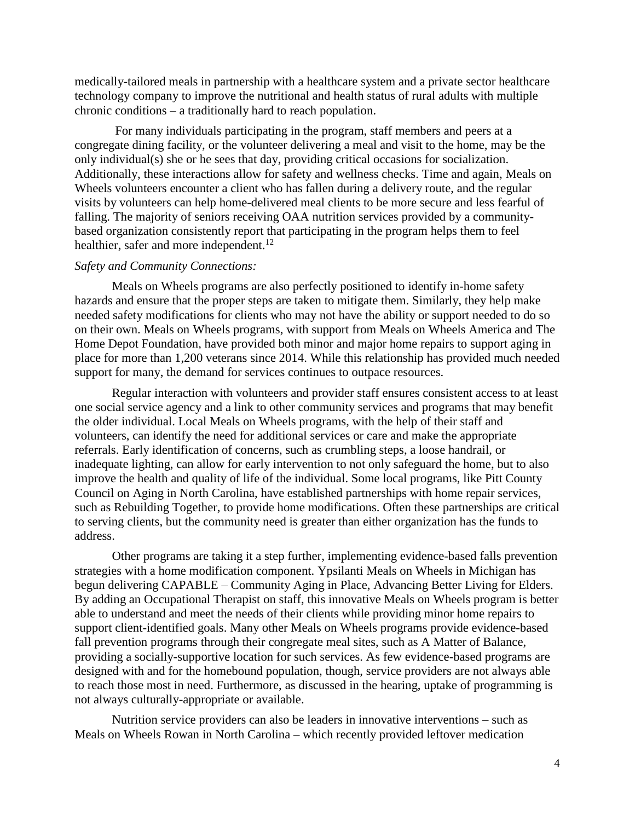medically-tailored meals in partnership with a healthcare system and a private sector healthcare technology company to improve the nutritional and health status of rural adults with multiple chronic conditions – a traditionally hard to reach population.

For many individuals participating in the program, staff members and peers at a congregate dining facility, or the volunteer delivering a meal and visit to the home, may be the only individual(s) she or he sees that day, providing critical occasions for socialization. Additionally, these interactions allow for safety and wellness checks. Time and again, Meals on Wheels volunteers encounter a client who has fallen during a delivery route, and the regular visits by volunteers can help home-delivered meal clients to be more secure and less fearful of falling. The majority of seniors receiving OAA nutrition services provided by a communitybased organization consistently report that participating in the program helps them to feel healthier, safer and more independent.<sup>12</sup>

#### *Safety and Community Connections:*

Meals on Wheels programs are also perfectly positioned to identify in-home safety hazards and ensure that the proper steps are taken to mitigate them. Similarly, they help make needed safety modifications for clients who may not have the ability or support needed to do so on their own. Meals on Wheels programs, with support from Meals on Wheels America and The Home Depot Foundation, have provided both minor and major home repairs to support aging in place for more than 1,200 veterans since 2014. While this relationship has provided much needed support for many, the demand for services continues to outpace resources.

Regular interaction with volunteers and provider staff ensures consistent access to at least one social service agency and a link to other community services and programs that may benefit the older individual. Local Meals on Wheels programs, with the help of their staff and volunteers, can identify the need for additional services or care and make the appropriate referrals. Early identification of concerns, such as crumbling steps, a loose handrail, or inadequate lighting, can allow for early intervention to not only safeguard the home, but to also improve the health and quality of life of the individual. Some local programs, like Pitt County Council on Aging in North Carolina, have established partnerships with home repair services, such as Rebuilding Together, to provide home modifications. Often these partnerships are critical to serving clients, but the community need is greater than either organization has the funds to address.

Other programs are taking it a step further, implementing evidence-based falls prevention strategies with a home modification component. Ypsilanti Meals on Wheels in Michigan has begun delivering CAPABLE – Community Aging in Place, Advancing Better Living for Elders. By adding an Occupational Therapist on staff, this innovative Meals on Wheels program is better able to understand and meet the needs of their clients while providing minor home repairs to support client-identified goals. Many other Meals on Wheels programs provide evidence-based fall prevention programs through their congregate meal sites, such as A Matter of Balance, providing a socially-supportive location for such services. As few evidence-based programs are designed with and for the homebound population, though, service providers are not always able to reach those most in need. Furthermore, as discussed in the hearing, uptake of programming is not always culturally-appropriate or available.

Nutrition service providers can also be leaders in innovative interventions – such as Meals on Wheels Rowan in North Carolina – which recently provided leftover medication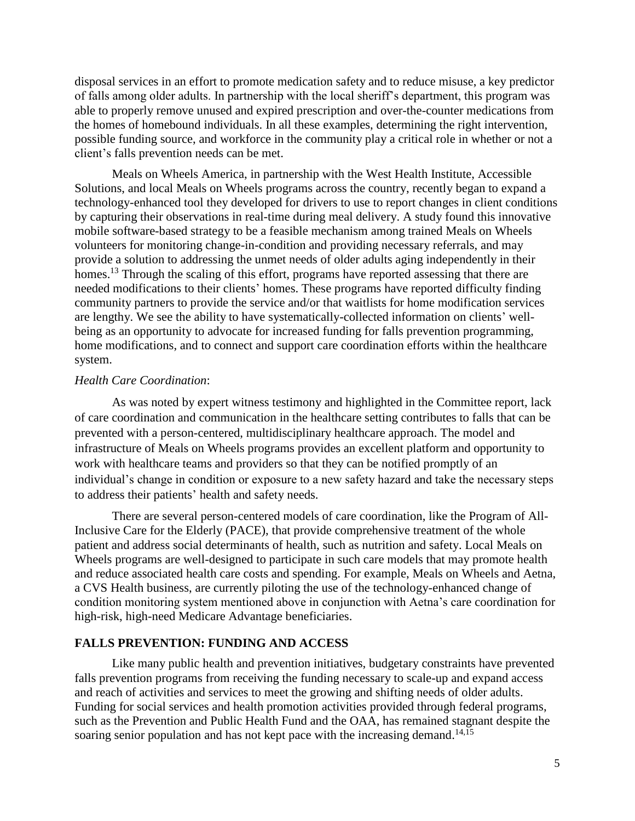disposal services in an effort to promote medication safety and to reduce misuse, a key predictor of falls among older adults. In partnership with the local sheriff's department, this program was able to properly remove unused and expired prescription and over-the-counter medications from the homes of homebound individuals. In all these examples, determining the right intervention, possible funding source, and workforce in the community play a critical role in whether or not a client's falls prevention needs can be met.

Meals on Wheels America, in partnership with the West Health Institute, Accessible Solutions, and local Meals on Wheels programs across the country, recently began to expand a technology-enhanced tool they developed for drivers to use to report changes in client conditions by capturing their observations in real-time during meal delivery. A study found this innovative mobile software-based strategy to be a feasible mechanism among trained Meals on Wheels volunteers for monitoring change-in-condition and providing necessary referrals, and may provide a solution to addressing the unmet needs of older adults aging independently in their homes.<sup>13</sup> Through the scaling of this effort, programs have reported assessing that there are needed modifications to their clients' homes. These programs have reported difficulty finding community partners to provide the service and/or that waitlists for home modification services are lengthy. We see the ability to have systematically-collected information on clients' wellbeing as an opportunity to advocate for increased funding for falls prevention programming, home modifications, and to connect and support care coordination efforts within the healthcare system.

#### *Health Care Coordination*:

As was noted by expert witness testimony and highlighted in the Committee report, lack of care coordination and communication in the healthcare setting contributes to falls that can be prevented with a person-centered, multidisciplinary healthcare approach. The model and infrastructure of Meals on Wheels programs provides an excellent platform and opportunity to work with healthcare teams and providers so that they can be notified promptly of an individual's change in condition or exposure to a new safety hazard and take the necessary steps to address their patients' health and safety needs.

There are several person-centered models of care coordination, like the Program of All-Inclusive Care for the Elderly (PACE), that provide comprehensive treatment of the whole patient and address social determinants of health, such as nutrition and safety. Local Meals on Wheels programs are well-designed to participate in such care models that may promote health and reduce associated health care costs and spending. For example, Meals on Wheels and Aetna, a CVS Health business, are currently piloting the use of the technology-enhanced change of condition monitoring system mentioned above in conjunction with Aetna's care coordination for high-risk, high-need Medicare Advantage beneficiaries.

## **FALLS PREVENTION: FUNDING AND ACCESS**

Like many public health and prevention initiatives, budgetary constraints have prevented falls prevention programs from receiving the funding necessary to scale-up and expand access and reach of activities and services to meet the growing and shifting needs of older adults. Funding for social services and health promotion activities provided through federal programs, such as the Prevention and Public Health Fund and the OAA, has remained stagnant despite the soaring senior population and has not kept pace with the increasing demand.<sup>14,15</sup>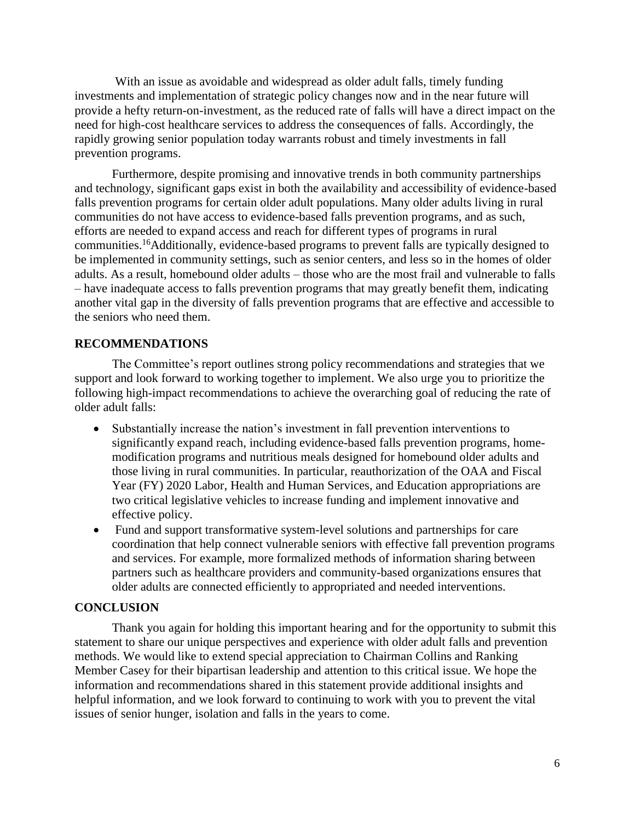With an issue as avoidable and widespread as older adult falls, timely funding investments and implementation of strategic policy changes now and in the near future will provide a hefty return-on-investment, as the reduced rate of falls will have a direct impact on the need for high-cost healthcare services to address the consequences of falls. Accordingly, the rapidly growing senior population today warrants robust and timely investments in fall prevention programs.

Furthermore, despite promising and innovative trends in both community partnerships and technology, significant gaps exist in both the availability and accessibility of evidence-based falls prevention programs for certain older adult populations. Many older adults living in rural communities do not have access to evidence-based falls prevention programs, and as such, efforts are needed to expand access and reach for different types of programs in rural communities.<sup>16</sup>Additionally, evidence-based programs to prevent falls are typically designed to be implemented in community settings, such as senior centers, and less so in the homes of older adults. As a result, homebound older adults – those who are the most frail and vulnerable to falls – have inadequate access to falls prevention programs that may greatly benefit them, indicating another vital gap in the diversity of falls prevention programs that are effective and accessible to the seniors who need them.

# **RECOMMENDATIONS**

The Committee's report outlines strong policy recommendations and strategies that we support and look forward to working together to implement. We also urge you to prioritize the following high-impact recommendations to achieve the overarching goal of reducing the rate of older adult falls:

- Substantially increase the nation's investment in fall prevention interventions to significantly expand reach, including evidence-based falls prevention programs, homemodification programs and nutritious meals designed for homebound older adults and those living in rural communities. In particular, reauthorization of the OAA and Fiscal Year (FY) 2020 Labor, Health and Human Services, and Education appropriations are two critical legislative vehicles to increase funding and implement innovative and effective policy.
- Fund and support transformative system-level solutions and partnerships for care coordination that help connect vulnerable seniors with effective fall prevention programs and services. For example, more formalized methods of information sharing between partners such as healthcare providers and community-based organizations ensures that older adults are connected efficiently to appropriated and needed interventions.

# **CONCLUSION**

Thank you again for holding this important hearing and for the opportunity to submit this statement to share our unique perspectives and experience with older adult falls and prevention methods. We would like to extend special appreciation to Chairman Collins and Ranking Member Casey for their bipartisan leadership and attention to this critical issue. We hope the information and recommendations shared in this statement provide additional insights and helpful information, and we look forward to continuing to work with you to prevent the vital issues of senior hunger, isolation and falls in the years to come.